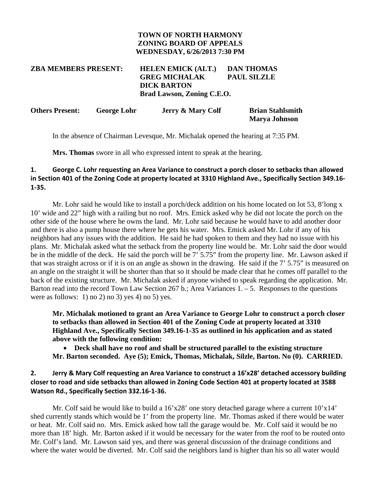#### **TOWN OF NORTH HARMONY ZONING BOARD OF APPEALS WEDNESDAY, 6/26/2013 7:30 PM**

# **ZBA MEMBERS PRESENT: HELEN EMICK (ALT.) DAN THOMAS GREG MICHALAK PAUL SILZLE DICK BARTON Brad Lawson, Zoning C.E.O.**

| <b>Others Present:</b> | <b>George Lohr</b> | <b>Jerry &amp; Mary Colf</b> | <b>Brian Stahlsmith</b> |
|------------------------|--------------------|------------------------------|-------------------------|
|                        |                    |                              | <b>Marya Johnson</b>    |

In the absence of Chairman Levesque, Mr. Michalak opened the hearing at 7:35 PM.

 **Mrs. Thomas** swore in all who expressed intent to speak at the hearing.

### **1. George C. Lohr requesting an Area Variance to construct a porch closer to setbacks than allowed in Section 401 of the Zoning Code at property located at 3310 Highland Ave., Specifically Section 349.16- 1-35.**

Mr. Lohr said he would like to install a porch/deck addition on his home located on lot 53, 8'long x 10' wide and 22" high with a railing but no roof. Mrs. Emick asked why he did not locate the porch on the other side of the house where he owns the land. Mr. Lohr said because he would have to add another door and there is also a pump house there where he gets his water. Mrs. Emick asked Mr. Lohr if any of his neighbors had any issues with the addition. He said he had spoken to them and they had no issue with his plans. Mr. Michalak asked what the setback from the property line would be. Mr. Lohr said the door would be in the middle of the deck. He said the porch will be 7' 5.75" from the property line. Mr. Lawson asked if that was straight across or if it is on an angle as shown in the drawing. He said if the 7' 5.75" is measured on an angle on the straight it will be shorter than that so it should be made clear that he comes off parallel to the back of the existing structure. Mr. Michalak asked if anyone wished to speak regarding the application. Mr. Barton read into the record Town Law Section 267 b.; Area Variances  $1. - 5$ . Responses to the questions were as follows: 1) no 2) no 3) yes 4) no 5) yes.

**Mr. Michalak motioned to grant an Area Variance to George Lohr to construct a porch closer to setbacks than allowed in Section 401 of the Zoning Code at property located at 3310 Highland Ave., Specifically Section 349.16-1-35 as outlined in his application and as stated above with the following condition:** 

 **Deck shall have no roof and shall be structured parallel to the existing structure Mr. Barton seconded. Aye (5); Emick, Thomas, Michalak, Silzle, Barton. No (0). CARRIED.** 

### **2. Jerry & Mary Colf requesting an Area Variance to construct a 16'x28' detached accessory building closer to road and side setbacks than allowed in Zoning Code Section 401 at property located at 3588 Watson Rd., Specifically Section 332.16-1-36.**

Mr. Colf said he would like to build a 16'x28' one story detached garage where a current  $10'x14'$ shed currently stands which would be 1' from the property line. Mr. Thomas asked if there would be water or heat. Mr. Colf said no. Mrs. Emick asked how tall the garage would be. Mr. Colf said it would be no more than 18' high. Mr. Barton asked if it would be necessary for the water from the roof to be routed onto Mr. Colf's land. Mr. Lawson said yes, and there was general discussion of the drainage conditions and where the water would be diverted. Mr. Colf said the neighbors land is higher than his so all water would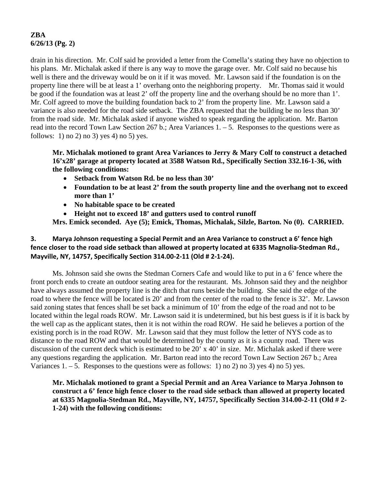# **ZBA 6/26/13 (Pg. 2)**

drain in his direction. Mr. Colf said he provided a letter from the Comella's stating they have no objection to his plans. Mr. Michalak asked if there is any way to move the garage over. Mr. Colf said no because his well is there and the driveway would be on it if it was moved. Mr. Lawson said if the foundation is on the property line there will be at least a 1' overhang onto the neighboring property. Mr. Thomas said it would be good if the foundation was at least 2' off the property line and the overhang should be no more than 1'. Mr. Colf agreed to move the building foundation back to 2' from the property line. Mr. Lawson said a variance is also needed for the road side setback. The ZBA requested that the building be no less than 30' from the road side. Mr. Michalak asked if anyone wished to speak regarding the application. Mr. Barton read into the record Town Law Section 267 b.; Area Variances 1. – 5. Responses to the questions were as follows: 1) no 2) no 3) yes 4) no 5) yes.

**Mr. Michalak motioned to grant Area Variances to Jerry & Mary Colf to construct a detached 16'x28' garage at property located at 3588 Watson Rd., Specifically Section 332.16-1-36, with the following conditions:** 

- **Setback from Watson Rd. be no less than 30'**
- **Foundation to be at least 2' from the south property line and the overhang not to exceed more than 1'**
- **No habitable space to be created**
- **Height not to exceed 18' and gutters used to control runoff**

**Mrs. Emick seconded. Aye (5); Emick, Thomas, Michalak, Silzle, Barton. No (0). CARRIED.** 

### **3. Marya Johnson requesting a Special Permit and an Area Variance to construct a 6' fence high fence closer to the road side setback than allowed at property located at 6335 Magnolia-Stedman Rd., Mayville, NY, 14757, Specifically Section 314.00-2-11 (Old # 2-1-24).**

 Ms. Johnson said she owns the Stedman Corners Cafe and would like to put in a 6' fence where the front porch ends to create an outdoor seating area for the restaurant. Ms. Johnson said they and the neighbor have always assumed the property line is the ditch that runs beside the building. She said the edge of the road to where the fence will be located is 20' and from the center of the road to the fence is 32'. Mr. Lawson said zoning states that fences shall be set back a minimum of 10' from the edge of the road and not to be located within the legal roads ROW. Mr. Lawson said it is undetermined, but his best guess is if it is back by the well cap as the applicant states, then it is not within the road ROW. He said he believes a portion of the existing porch is in the road ROW. Mr. Lawson said that they must follow the letter of NYS code as to distance to the road ROW and that would be determined by the county as it is a county road. There was discussion of the current deck which is estimated to be 20' x 40' in size. Mr. Michalak asked if there were any questions regarding the application. Mr. Barton read into the record Town Law Section 267 b.; Area Variances  $1. - 5$ . Responses to the questions were as follows: 1) no 2) no 3) yes 4) no 5) yes.

**Mr. Michalak motioned to grant a Special Permit and an Area Variance to Marya Johnson to construct a 6' fence high fence closer to the road side setback than allowed at property located at 6335 Magnolia-Stedman Rd., Mayville, NY, 14757, Specifically Section 314.00-2-11 (Old # 2- 1-24) with the following conditions:**